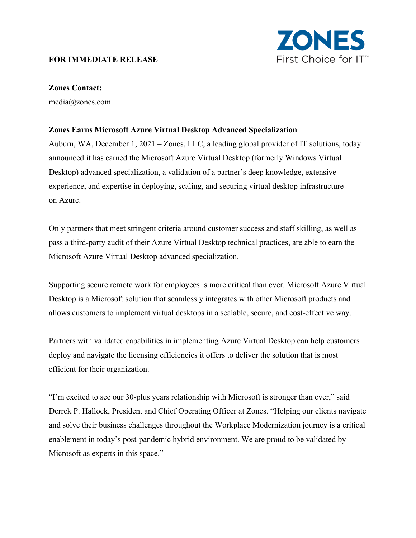## **FOR IMMEDIATE RELEASE**



## **Zones Contact:**

media@zones.com

## **Zones Earns Microsoft Azure Virtual Desktop Advanced Specialization**

Auburn, WA, December 1, 2021 – Zones, LLC, a leading global provider of IT solutions, today announced it has earned the Microsoft Azure Virtual Desktop (formerly Windows Virtual Desktop) advanced specialization, a validation of a partner's deep knowledge, extensive experience, and expertise in deploying, scaling, and securing virtual desktop infrastructure on Azure.

Only partners that meet stringent criteria around customer success and staff skilling, as well as pass a third-party audit of their Azure Virtual Desktop technical practices, are able to earn the Microsoft Azure Virtual Desktop advanced specialization.

Supporting secure remote work for employees is more critical than ever. Microsoft Azure Virtual Desktop is a Microsoft solution that seamlessly integrates with other Microsoft products and allows customers to implement virtual desktops in a scalable, secure, and cost-effective way.

Partners with validated capabilities in implementing Azure Virtual Desktop can help customers deploy and navigate the licensing efficiencies it offers to deliver the solution that is most efficient for their organization.

"I'm excited to see our 30-plus years relationship with Microsoft is stronger than ever," said Derrek P. Hallock, President and Chief Operating Officer at Zones. "Helping our clients navigate and solve their business challenges throughout the Workplace Modernization journey is a critical enablement in today's post-pandemic hybrid environment. We are proud to be validated by Microsoft as experts in this space."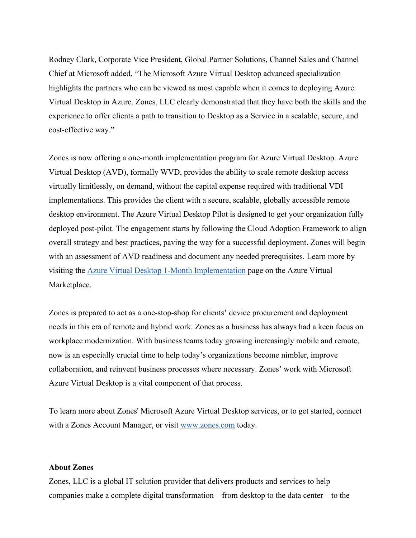Rodney Clark, Corporate Vice President, Global Partner Solutions, Channel Sales and Channel Chief at Microsoft added, "The Microsoft Azure Virtual Desktop advanced specialization highlights the partners who can be viewed as most capable when it comes to deploying Azure Virtual Desktop in Azure. Zones, LLC clearly demonstrated that they have both the skills and the experience to offer clients a path to transition to Desktop as a Service in a scalable, secure, and cost-effective way."

Zones is now offering a one-month implementation program for Azure Virtual Desktop. Azure Virtual Desktop (AVD), formally WVD, provides the ability to scale remote desktop access virtually limitlessly, on demand, without the capital expense required with traditional VDI implementations. This provides the client with a secure, scalable, globally accessible remote desktop environment. The Azure Virtual Desktop Pilot is designed to get your organization fully deployed post-pilot. The engagement starts by following the Cloud Adoption Framework to align overall strategy and best practices, paving the way for a successful deployment. Zones will begin with an assessment of AVD readiness and document any needed prerequisites. Learn more by visiting the [Azure Virtual Desktop 1-Month Implementation](https://azuremarketplace.microsoft.com/en-us/marketplace/consulting-services/zonesinc.avd_00002?tab=Overview) page on the Azure Virtual Marketplace.

Zones is prepared to act as a one-stop-shop for clients' device procurement and deployment needs in this era of remote and hybrid work. Zones as a business has always had a keen focus on workplace modernization. With business teams today growing increasingly mobile and remote, now is an especially crucial time to help today's organizations become nimbler, improve collaboration, and reinvent business processes where necessary. Zones' work with Microsoft Azure Virtual Desktop is a vital component of that process.

To learn more about Zones' Microsoft Azure Virtual Desktop services, or to get started, connect with a Zones Account Manager, or visit<www.zones.com> today.

## **About Zones**

Zones, LLC is a global IT solution provider that delivers products and services to help companies make a complete digital transformation – from desktop to the data center – to the